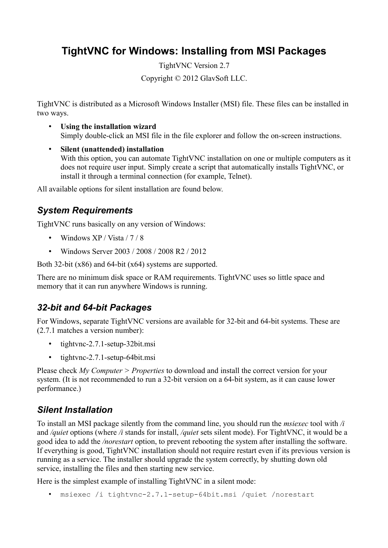# **TightVNC for Windows: Installing from MSI Packages**

TightVNC Version 2.7

Copyright © 2012 GlavSoft LLC.

TightVNC is distributed as a Microsoft Windows Installer (MSI) file. These files can be installed in two ways.

- **Using the installation wizard** Simply double-click an MSI file in the file explorer and follow the on-screen instructions.
- **Silent (unattended) installation** With this option, you can automate TightVNC installation on one or multiple computers as it does not require user input. Simply create a script that automatically installs TightVNC, or install it through a terminal connection (for example, Telnet).

All available options for silent installation are found below.

## *System Requirements*

TightVNC runs basically on any version of Windows:

- Windows XP / Vista / 7 / 8
- Windows Server 2003 / 2008 / 2008 R2 / 2012

Both 32-bit (x86) and 64-bit (x64) systems are supported.

There are no minimum disk space or RAM requirements. TightVNC uses so little space and memory that it can run anywhere Windows is running.

## *32-bit and 64-bit Packages*

For Windows, separate TightVNC versions are available for 32-bit and 64-bit systems. These are (2.7.1 matches a version number):

- tightvnc-2.7.1-setup-32bit.msi
- tightvnc-2.7.1-setup-64bit.msi

Please check *My Computer > Properties* to download and install the correct version for your system. (It is not recommended to run a 32-bit version on a 64-bit system, as it can cause lower performance.)

#### *Silent Installation*

To install an MSI package silently from the command line, you should run the *msiexec* tool with */i* and */quiet* options (where */i* stands for install, */quiet* sets silent mode). For TightVNC, it would be a good idea to add the */norestart* option, to prevent rebooting the system after installing the software. If everything is good, TightVNC installation should not require restart even if its previous version is running as a service. The installer should upgrade the system correctly, by shutting down old service, installing the files and then starting new service.

Here is the simplest example of installing TightVNC in a silent mode:

• msiexec /i tightvnc-2.7.1-setup-64bit.msi /quiet /norestart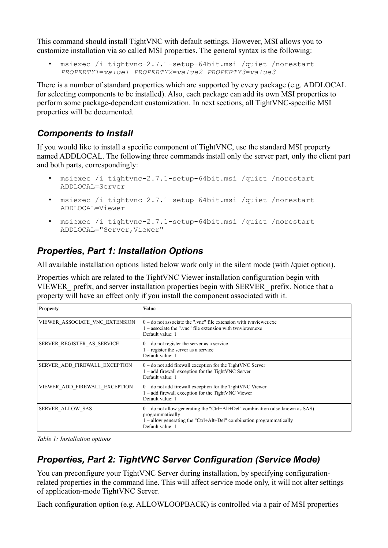This command should install TightVNC with default settings. However, MSI allows you to customize installation via so called MSI properties. The general syntax is the following:

• msiexec /i tightvnc-2.7.1-setup-64bit.msi /quiet /norestart *PROPERTY1*=*value1 PROPERTY2*=*value2 PROPERTY3*=*value3*

There is a number of standard properties which are supported by every package (e.g. ADDLOCAL for selecting components to be installed). Also, each package can add its own MSI properties to perform some package-dependent customization. In next sections, all TightVNC-specific MSI properties will be documented.

## *Components to Install*

If you would like to install a specific component of TightVNC, use the standard MSI property named ADDLOCAL. The following three commands install only the server part, only the client part and both parts, correspondingly:

- msiexec /i tightvnc-2.7.1-setup-64bit.msi /quiet /norestart ADDLOCAL=Server
- msiexec /i tightvnc-2.7.1-setup-64bit.msi /quiet /norestart ADDLOCAL=Viewer
- msiexec /i tightvnc-2.7.1-setup-64bit.msi /quiet /norestart ADDLOCAL="Server,Viewer"

## *Properties, Part 1: Installation Options*

All available installation options listed below work only in the silent mode (with **/**quiet option).

Properties which are related to the TightVNC Viewer installation configuration begin with VIEWER\_ prefix, and server installation properties begin with SERVER\_ prefix. Notice that a property will have an effect only if you install the component associated with it.

| <b>Property</b>                | Value                                                                                                                                                                                              |
|--------------------------------|----------------------------------------------------------------------------------------------------------------------------------------------------------------------------------------------------|
| VIEWER ASSOCIATE VNC EXTENSION | $0$ – do not associate the ".vnc" file extension with tynviewer.exe<br>$1 -$ associate the " vnc" file extension with tynviewer exe<br>Default value: 1                                            |
| SERVER REGISTER AS SERVICE     | $0$ – do not register the server as a service<br>$1 -$ register the server as a service<br>Default value: 1                                                                                        |
| SERVER ADD FIREWALL EXCEPTION  | $0$ – do not add firewall exception for the TightVNC Server<br>$1 - add$ firewall exception for the TightVNC Server<br>Default value: 1                                                            |
| VIEWER ADD FIREWALL EXCEPTION  | $0$ – do not add firewall exception for the TightVNC Viewer<br>$1 - add$ firewall exception for the TightVNC Viewer<br>Default value: 1                                                            |
| <b>SERVER ALLOW SAS</b>        | $0$ – do not allow generating the "Ctrl+Alt+Del" combination (also known as SAS)<br>programmatically<br>$1$ – allow generating the "Ctrl+Alt+Del" combination programmatically<br>Default value: 1 |

*Table 1: Installation options*

## *Properties, Part 2: TightVNC Server Configuration (Service Mode)*

You can preconfigure your TightVNC Server during installation, by specifying configurationrelated properties in the command line. This will affect service mode only, it will not alter settings of application-mode TightVNC Server.

Each configuration option (e.g. ALLOWLOOPBACK) is controlled via a pair of MSI properties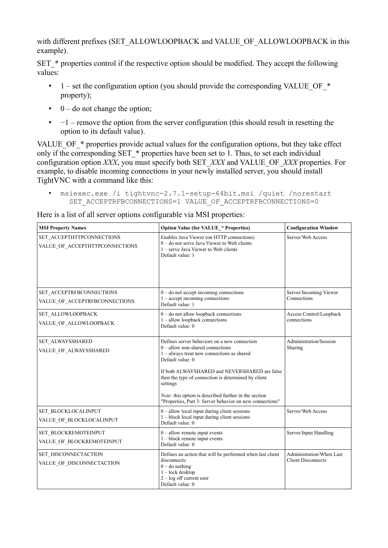with different prefixes (SET\_ALLOWLOOPBACK and VALUE\_OF\_ALLOWLOOPBACK in this example).

SET \* properties control if the respective option should be modified. They accept the following values:

- 1 set the configuration option (you should provide the corresponding VALUE OF  $*$ property);
- $\bullet$  0 do not change the option;
- $\cdot$  -1 remove the option from the server configuration (this should result in resetting the option to its default value).

VALUE OF  $*$  properties provide actual values for the configuration options, but they take effect only if the corresponding SET  $*$  properties have been set to 1. Thus, to set each individual configuration option *XXX*, you must specify both SET\_*XXX* and VALUE\_OF\_*XXX* properties. For example, to disable incoming connections in your newly installed server, you should install TightVNC with a command like this:

• msiexec.exe /i tightvnc-2.7.1-setup-64bit.msi /quiet /norestart SET ACCEPTRFBCONNECTIONS=1 VALUE OF ACCEPTRFBCONNECTIONS=0

Here is a list of all server options configurable via MSI properties:

| <b>MSI Property Names</b>                                   | <b>Option Value (for VALUE_* Properties)</b>                                                                                                                                                                                                                                                                                                                                                    | <b>Configuration Window</b>                           |  |
|-------------------------------------------------------------|-------------------------------------------------------------------------------------------------------------------------------------------------------------------------------------------------------------------------------------------------------------------------------------------------------------------------------------------------------------------------------------------------|-------------------------------------------------------|--|
| SET ACCEPTHTTPCONNECTIONS<br>VALUE_OF_ACCEPTHTTPCONNECTIONS | Enables Java Viewer (on HTTP connections)<br>$0 -$ do not serve Java Viewer to Web clients<br>1 – serve Java Viewer to Web clients<br>Default value: 1                                                                                                                                                                                                                                          | Server/Web Access                                     |  |
| SET ACCEPTRFBCONNECTIONS<br>VALUE OF ACCEPTRFBCONNECTIONS   | $0 -$ do not accept incoming connections<br>$1 -$ accept incoming connections<br>Default value: 1                                                                                                                                                                                                                                                                                               | Server/Incoming Viewer<br>Connections                 |  |
| SET_ALLOWLOOPBACK<br>VALUE OF ALLOWLOOPBACK                 | $0 -$ do not allow loopback connections<br>$1$ – allow loopback connections<br>Default value: 0                                                                                                                                                                                                                                                                                                 | Access Control/Loopback<br>connections                |  |
| SET ALWAYSSHARED<br>VALUE OF ALWAYSSHARED                   | Defines server behaviors on a new connection<br>$0$ – allow non-shared connections<br>$1 -$ always treat new connections as shared<br>Default value: 0<br>If both ALWAYSHARED and NEVERSHARED are false<br>then the type of connection is determined by client<br>settings<br>Note: this option is described further in the section<br>"Properties, Part 3: Server behavior on new connections" | Administration/Session<br>Sharing                     |  |
| SET BLOCKLOCALINPUT<br>VALUE_OF_BLOCKLOCALINPUT             | $0$ – allow local input during client sessions<br>$1 - block$ local input during client sessions<br>Default value: 0                                                                                                                                                                                                                                                                            | Server/Web Access                                     |  |
| SET_BLOCKREMOTEINPUT<br>VALUE_OF_BLOCKREMOTEINPUT           | $0$ – allow remote input events<br>$1 - block$ remote input events<br>Default value: 0                                                                                                                                                                                                                                                                                                          | Server/Input Handling                                 |  |
| SET DISCONNECTACTION<br>VALUE_OF_DISCONNECTACTION           | Defines an action that will be performed when last client<br>disconnects:<br>$0 -$ do nothing<br>$1 - \text{lock desktop}$<br>$2 - log of$ current user<br>Default value: 0                                                                                                                                                                                                                     | Administration/When Last<br><b>Client Disconnects</b> |  |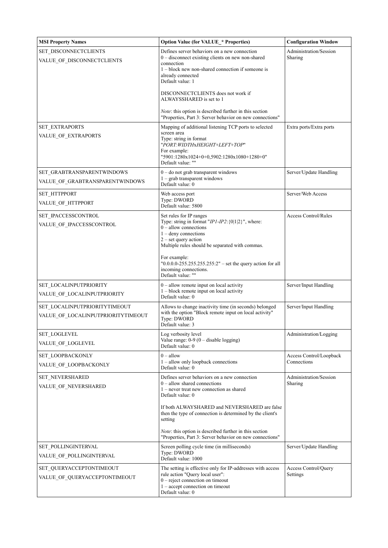| <b>MSI Property Names</b>                                           | <b>Option Value (for VALUE * Properties)</b>                                                                                                                                                                                                                                                           | <b>Configuration Window</b>            |
|---------------------------------------------------------------------|--------------------------------------------------------------------------------------------------------------------------------------------------------------------------------------------------------------------------------------------------------------------------------------------------------|----------------------------------------|
| SET_DISCONNECTCLIENTS<br>VALUE_OF_DISCONNECTCLIENTS                 | Defines server behaviors on a new connection<br>$0$ – disconnect existing clients on new non-shared<br>connection<br>$1 - block$ new non-shared connection if someone is<br>already connected<br>Default value: 1                                                                                      | Administration/Session<br>Sharing      |
|                                                                     | DISCONNECTCLIENTS does not work if<br>ALWAYSSHARED is set to 1                                                                                                                                                                                                                                         |                                        |
|                                                                     | <i>Note:</i> this option is described further in this section<br>"Properties, Part 3: Server behavior on new connections"                                                                                                                                                                              |                                        |
| <b>SET EXTRAPORTS</b><br>VALUE OF EXTRAPORTS                        | Mapping of additional listening TCP ports to selected<br>screen area<br>Type: string in format<br>"PORT:WIDTHxHEIGHT+LEFT+TOP"<br>For example:<br>"5901:1280x1024+0+0,5902:1280x1080+1280+0"<br>Default value: ""                                                                                      | Extra ports/Extra ports                |
| SET_GRABTRANSPARENTWINDOWS<br>VALUE_OF_GRABTRANSPARENTWINDOWS       | $0$ – do not grab transparent windows<br>$1 -$ grab transparent windows<br>Default value: 0                                                                                                                                                                                                            | Server/Update Handling                 |
| SET_HTTPPORT<br>VALUE_OF_HTTPPORT                                   | Web access port<br>Type: DWORD<br>Default value: 5800                                                                                                                                                                                                                                                  | Server/Web Access                      |
| SET IPACCESSCONTROL<br>VALUE_OF_IPACCESSCONTROL                     | Set rules for IP ranges<br>Type: string in format " $IP1$ - $IP2$ : {0 1 2}", where:<br>$0$ – allow connections<br>$1$ – deny connections<br>$2$ – set query action<br>Multiple rules should be separated with commas.<br>For example:<br>" $0.0.0.0255.255.255.255:2"$ – set the query action for all | <b>Access Control/Rules</b>            |
|                                                                     | incoming connections.<br>Default value: ""                                                                                                                                                                                                                                                             |                                        |
| SET LOCALINPUTPRIORITY<br>VALUE OF LOCALINPUTPRIORITY               | $0$ – allow remote input on local activity<br>1 – block remote input on local activity<br>Default value: 0                                                                                                                                                                                             | Server/Input Handling                  |
| SET LOCALINPUTPRIORITYTIMEOUT<br>VALUE_OF_LOCALINPUTPRIORITYTIMEOUT | Allows to change inactivity time (in seconds) belonged<br>with the option "Block remote input on local activity"<br>Type: DWORD<br>Default value: 3                                                                                                                                                    | Server/Input Handling                  |
| <b>SET_LOGLEVEL</b><br>VALUE OF LOGLEVEL                            | Log verbosity level<br>Value range: $0-9$ ( $0-$ disable logging)<br>Default value: 0                                                                                                                                                                                                                  | Administration/Logging                 |
| SET_LOOPBACKONLY<br>VALUE OF LOOPBACKONLY                           | $0 -$ allow<br>1 - allow only loopback connections<br>Default value: 0                                                                                                                                                                                                                                 | Access Control/Loopback<br>Connections |
| SET NEVERSHARED<br>VALUE_OF_NEVERSHARED                             | Defines server behaviors on a new connection<br>$0$ – allow shared connections<br>$1$ – never treat new connection as shared<br>Default value: 0                                                                                                                                                       | Administration/Session<br>Sharing      |
|                                                                     | If both ALWAYSHARED and NEVERSHARED are false<br>then the type of connection is determined by the client's<br>setting                                                                                                                                                                                  |                                        |
|                                                                     | <i>Note:</i> this option is described further in this section<br>"Properties, Part 3: Server behavior on new connections"                                                                                                                                                                              |                                        |
| SET POLLINGINTERVAL<br>VALUE OF POLLINGINTERVAL                     | Screen polling cycle time (in milliseconds)<br>Type: DWORD<br>Default value: 1000                                                                                                                                                                                                                      | Server/Update Handling                 |
| SET QUERYACCEPTONTIMEOUT<br>VALUE OF QUERYACCEPTONTIMEOUT           | The setting is effective only for IP-addresses with access<br>rule action "Query local user":<br>$0$ – reject connection on timeout<br>$1 -$ accept connection on timeout<br>Default value: 0                                                                                                          | Access Control/Query<br>Settings       |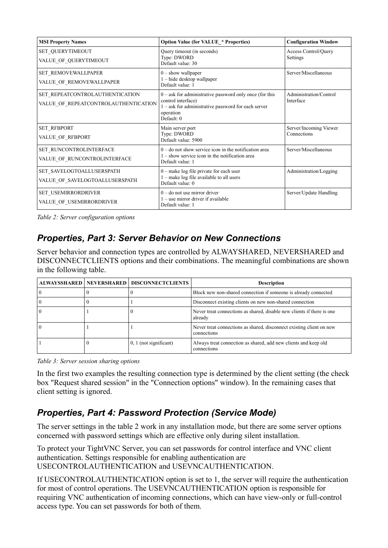| <b>MSI Property Names</b>                                               | <b>Option Value (for VALUE * Properties)</b>                                                                                                                          | <b>Configuration Window</b>           |
|-------------------------------------------------------------------------|-----------------------------------------------------------------------------------------------------------------------------------------------------------------------|---------------------------------------|
| <b>SET QUERYTIMEOUT</b><br>VALUE_OF_QUERYTIMEOUT                        | Query timeout (in seconds)<br>Type: DWORD<br>Default value: 30                                                                                                        | Access Control/Query<br>Settings      |
| SET REMOVEWALLPAPER<br>VALUE_OF_REMOVEWALLPAPER                         | $0$ – show wallpaper<br>$1 -$ hide desktop wallpaper<br>Default value: 1                                                                                              | Server/Miscellaneous                  |
| SET_REPEATCONTROLAUTHENTICATION<br>VALUE_OF_REPEATCONTROLAUTHENTICATION | $0 - a$ sk for administrative password only once (for this<br>control interface)<br>$1 - a$ sk for administrative password for each server<br>operation<br>Default: 0 | Administration/Control<br>Interface   |
| <b>SET_RFBPORT</b><br>VALUE_OF_RFBPORT                                  | Main server port<br>Type: DWORD<br>Default value: 5900                                                                                                                | Server/Incoming Viewer<br>Connections |
| SET RUNCONTROLINTERFACE<br>VALUE_OF_RUNCONTROLINTERFACE                 | $0$ – do not show service icon in the notification area<br>$1 -$ show service icon in the notification area<br>Default value: 1                                       | Server/Miscellaneous                  |
| SET_SAVELOGTOALLUSERSPATH<br>VALUE_OF_SAVELOGTOALLUSERSPATH             | $0$ – make log file private for each user<br>$1 -$ make log file available to all users<br>Default value: 0                                                           | Administration/Logging                |
| SET_USEMIRRORDRIVER<br>VALUE_OF_USEMIRRORDRIVER                         | $0 -$ do not use mirror driver<br>$1 -$ use mirror driver if available<br>Default value: 1                                                                            | Server/Update Handling                |

*Table 2: Server configuration options*

## *Properties, Part 3: Server Behavior on New Connections*

Server behavior and connection types are controlled by ALWAYSHARED, NEVERSHARED and DISCONNECTCLIENTS options and their combinations. The meaningful combinations are shown in the following table.

|  | ALWAYSSHARED   NEVERSHARED   DISCONNECTCLIENTS | <b>Description</b>                                                                  |
|--|------------------------------------------------|-------------------------------------------------------------------------------------|
|  |                                                | Block new non-shared connection if someone is already connected                     |
|  |                                                | Disconnect existing clients on new non-shared connection                            |
|  |                                                | Never treat connections as shared, disable new clients if there is one<br>already   |
|  |                                                | Never treat connections as shared, disconnect existing client on new<br>connections |
|  | $0, 1$ (not significant)                       | Always treat connection as shared, add new clients and keep old<br>connections      |

*Table 3: Server session sharing options*

In the first two examples the resulting connection type is determined by the client setting (the check box "Request shared session" in the "Connection options" window). In the remaining cases that client setting is ignored.

## *Properties, Part 4: Password Protection (Service Mode)*

The server settings in the table 2 work in any installation mode, but there are some server options concerned with password settings which are effective only during silent installation.

To protect your TightVNC Server, you can set passwords for control interface and VNC client authentication. Settings responsible for enabling authentication are USECONTROLAUTHENTICATION and USEVNCAUTHENTICATION.

If USECONTROLAUTHENTICATION option is set to 1, the server will require the authentication for most of control operations. The USEVNCAUTHENTICATION option is responsible for requiring VNC authentication of incoming connections, which can have view-only or full-control access type. You can set passwords for both of them.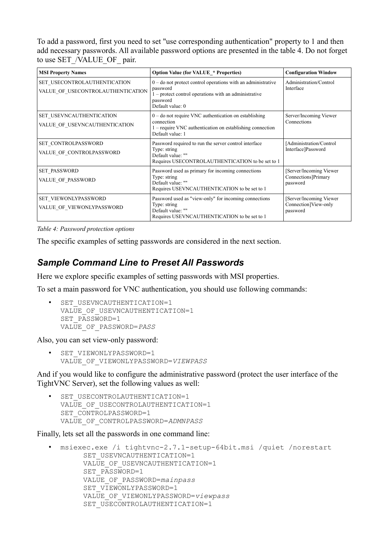To add a password, first you need to set "use corresponding authentication" property to 1 and then add necessary passwords. All available password options are presented in the table 4. Do not forget to use SET\_/VALUE\_OF\_pair.

| <b>MSI Property Names</b>                                         | <b>Option Value (for VALUE * Properties)</b>                                                                                                                          | <b>Configuration Window</b>                                  |
|-------------------------------------------------------------------|-----------------------------------------------------------------------------------------------------------------------------------------------------------------------|--------------------------------------------------------------|
| SET_USECONTROLAUTHENTICATION<br>VALUE_OF_USECONTROLAUTHENTICATION | $0$ – do not protect control operations with an administrative<br>password<br>$1$ – protect control operations with an administrative<br>password<br>Default value: 0 | Administration/Control<br>Interface                          |
| SET USEVNCAUTHENTICATION<br>VALUE_OF_USEVNCAUTHENTICATION         | $0$ – do not require VNC authentication on establishing<br>connection<br>$1 -$ require VNC authentication on establishing connection<br>Default value: 1              | Server/Incoming Viewer<br>Connections                        |
| SET CONTROLPASSWORD<br>VALUE_OF_CONTROLPASSWORD                   | Password required to run the server control interface<br>Type: string<br>Default value: ""<br>Requires USECONTROLAUTHENTICATION to be set to 1                        | [Administration/Control<br>Interface]Password                |
| <b>SET PASSWORD</b><br>VALUE OF PASSWORD                          | Password used as primary for incoming connections<br>Type: string<br>Default value: ""<br>Requires USEVNCAUTHENTICATION to be set to 1                                | [Server/Incoming Viewer]<br>Connections]Primary<br>password  |
| SET VIEWONLYPASSWORD<br>VALUE_OF_VIEWONLYPASSWORD                 | Password used as "view-only" for incoming connections<br>Type: string<br>Default value: ""<br>Requires USEVNCAUTHENTICATION to be set to 1                            | [Server/Incoming Viewer]<br>Connection]View-only<br>password |

#### *Table 4: Password protection options*

The specific examples of setting passwords are considered in the next section.

#### *Sample Command Line to Preset All Passwords*

Here we explore specific examples of setting passwords with MSI properties.

To set a main password for VNC authentication, you should use following commands:

SET\_USEVNCAUTHENTICATION=1 VALUE OF USEVNCAUTHENTICATION=1 SET\_PASSWORD=1 VALUE\_OF\_PASSWORD=*PASS*

Also, you can set view-only password:

• SET VIEWONLYPASSWORD=1 VALUE\_OF\_VIEWONLYPASSWORD=*VIEWPASS*

And if you would like to configure the administrative password (protect the user interface of the TightVNC Server), set the following values as well:

SET USECONTROLAUTHENTICATION=1 VALUE OF USECONTROLAUTHENTICATION=1 SET\_CONTROLPASSWORD=1 VALUE\_OF\_CONTROLPASSWORD=*ADMNPASS*

Finally, lets set all the passwords in one command line:

• msiexec.exe /i tightvnc-2.7.1-setup-64bit.msi /quiet /norestart SET\_USEVNCAUTHENTICATION=1 VALUE OF USEVNCAUTHENTICATION=1 SET\_PASSWORD=1 VALUE\_OF\_PASSWORD=*mainpass* SET\_VIEWONLYPASSWORD=1 VALUE\_OF\_VIEWONLYPASSWORD=*viewpass* SET\_USECONTROLAUTHENTICATION=1